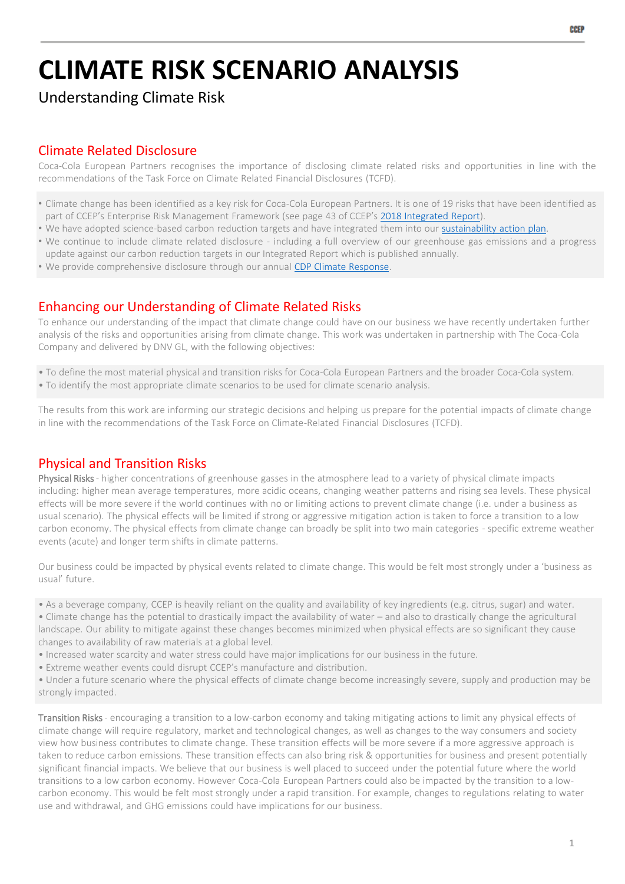# **CLIMATE RISK SCENARIO ANALYSIS**

Understanding Climate Risk

# Climate Related Disclosure

Coca-Cola European Partners recognises the importance of disclosing climate related risks and opportunities in line with the recommendations of the Task Force on Climate Related Financial Disclosures (TCFD).

- Climate change has been identified as a key risk for Coca-Cola European Partners. It is one of 19 risks that have been identified as part of CCEP's Enterprise Risk Management Framework (see page 43 of CCEP's 2018 [Integrated](https://www.ccep.com/system/file_resources/5391/CCEP_IntegratedReport.pdf) Report).
- We have adopted science-based carbon reduction targets and have integrated them into our [sustainability](https://www.ccep.com/system/file_resources/5381/This_is_Forward_Sustainability_Action_Plan.pdf) action plan.
- We continue to include climate related disclosure including a full overview of our greenhouse gas emissions and a progress update against our carbon reduction targets in our Integrated Report which is published annually.
- We provide comprehensive disclosure through our annual CDP Climate [Response.](https://www.ccep.com/system/file_resources/5441/CDP_2018_climate_change_submission__Coca-Cola_European_Partners.pdf)

## Enhancing our Understanding of Climate Related Risks

To enhance our understanding of the impact that climate change could have on our business we have recently undertaken further analysis of the risks and opportunities arising from climate change. This work was undertaken in partnership with The Coca-Cola Company and delivered by DNV GL, with the following objectives:

- To define the most material physical and transition risks for Coca-Cola European Partners and the broader Coca-Cola system.
- To identify the most appropriate climate scenarios to be used for climate scenario analysis.

The results from this work are informing our strategic decisions and helping us prepare for the potential impacts of climate change in line with the recommendations of the Task Force on Climate-Related Financial Disclosures (TCFD).

# Physical and Transition Risks

Physical Risks - higher concentrations of greenhouse gasses in the atmosphere lead to a variety of physical climate impacts including: higher mean average temperatures, more acidic oceans, changing weather patterns and rising sea levels. These physical effects will be more severe if the world continues with no or limiting actions to prevent climate change (i.e. under a business as usual scenario). The physical effects will be limited if strong or aggressive mitigation action is taken to force a transition to a low carbon economy. The physical effects from climate change can broadly be split into two main categories - specific extreme weather events (acute) and longer term shifts in climate patterns.

Our business could be impacted by physical events related to climate change. This would be felt most strongly under a 'business as usual' future.

• As a beverage company, CCEP is heavily reliant on the quality and availability of key ingredients (e.g. citrus, sugar) and water.

• Climate change has the potential to drastically impact the availability of water – and also to drastically change the agricultural landscape. Our ability to mitigate against these changes becomes minimized when physical effects are so significant they cause changes to availability of raw materials at a global level.

- Increased water scarcity and water stress could have major implications for our business in the future.
- Extreme weather events could disrupt CCEP's manufacture and distribution.

• Under a future scenario where the physical effects of climate change become increasingly severe, supply and production may be strongly impacted.

Transition Risks - encouraging a transition to a low-carbon economy and taking mitigating actions to limit any physical effects of climate change will require regulatory, market and technological changes, as well as changes to the way consumers and society view how business contributes to climate change. These transition effects will be more severe if a more aggressive approach is taken to reduce carbon emissions. These transition effects can also bring risk & opportunities for business and present potentially significant financial impacts. We believe that our business is well placed to succeed under the potential future where the world transitions to a low carbon economy. However Coca-Cola European Partners could also be impacted by the transition to a lowcarbon economy. This would be felt most strongly under a rapid transition. For example, changes to regulations relating to water use and withdrawal, and GHG emissions could have implications for our business.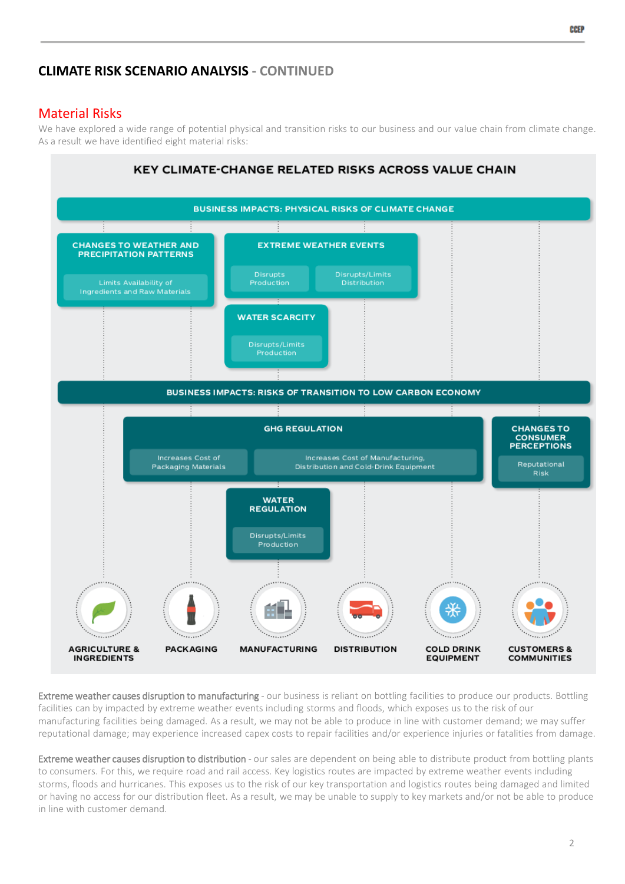# **CLIMATE RISK SCENARIO ANALYSIS - CONTINUED**

### Material Risks

We have explored a wide range of potential physical and transition risks to our business and our value chain from climate change. As a result we have identified eight material risks:



Extreme weather causes disruption to manufacturing - our business is reliant on bottling facilities to produce our products. Bottling facilities can by impacted by extreme weather events including storms and floods, which exposes us to the risk of our manufacturing facilities being damaged. As a result, we may not be able to produce in line with customer demand; we may suffer reputational damage; may experience increased capex costs to repair facilities and/or experience injuries or fatalities from damage.

Extreme weather causes disruption to distribution - our sales are dependent on being able to distribute product from bottling plants to consumers. For this, we require road and rail access. Key logistics routes are impacted by extreme weather events including storms, floods and hurricanes. This exposes us to the risk of our key transportation and logistics routes being damaged and limited or having no access for our distribution fleet. As a result, we may be unable to supply to key markets and/or not be able to produce in line with customer demand.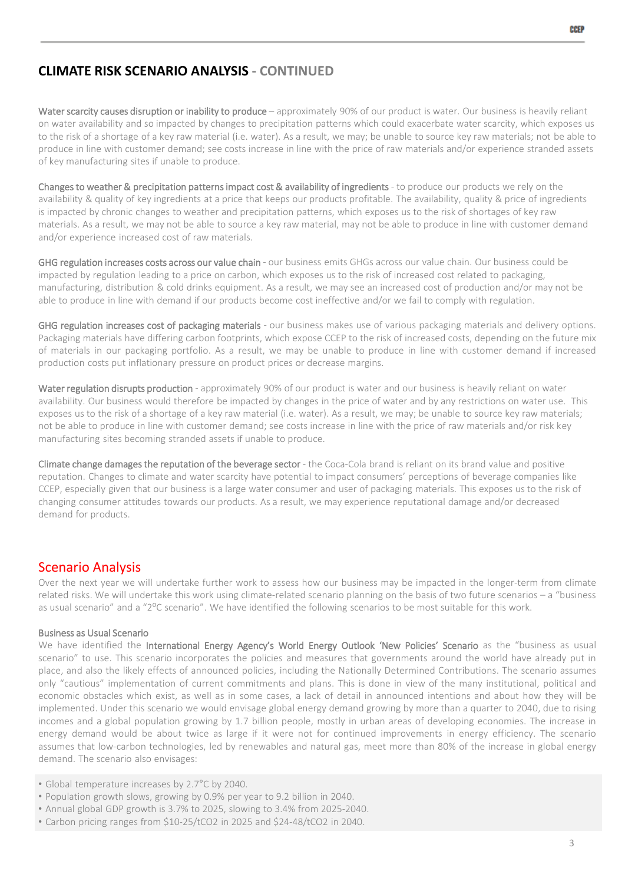#### **CLIMATE RISK SCENARIO ANALYSIS - CONTINUED**

Water scarcity causes disruption or inability to produce - approximately 90% of our product is water. Our business is heavily reliant on water availability and so impacted by changes to precipitation patterns which could exacerbate water scarcity, which exposes us to the risk of a shortage of a key raw material (i.e. water). As a result, we may; be unable to source key raw materials; not be able to produce in line with customer demand; see costs increase in line with the price of raw materials and/or experience stranded assets of key manufacturing sites if unable to produce.

Changes to weather & precipitation patterns impact cost & availability of ingredients - to produce our products we rely on the availability & quality of key ingredients at a price that keeps our products profitable. The availability, quality & price of ingredients is impacted by chronic changes to weather and precipitation patterns, which exposes us to the risk of shortages of key raw materials. As a result, we may not be able to source a key raw material, may not be able to produce in line with customer demand and/or experience increased cost of raw materials.

GHG regulation increases costs across our value chain - our business emits GHGs across our value chain. Our business could be impacted by regulation leading to a price on carbon, which exposes us to the risk of increased cost related to packaging, manufacturing, distribution & cold drinks equipment. As a result, we may see an increased cost of production and/or may not be able to produce in line with demand if our products become cost ineffective and/or we fail to comply with regulation.

GHG regulation increases cost of packaging materials - our business makes use of various packaging materials and delivery options. Packaging materials have differing carbon footprints, which expose CCEP to the risk of increased costs, depending on the future mix of materials in our packaging portfolio. As a result, we may be unable to produce in line with customer demand if increased production costs put inflationary pressure on product prices or decrease margins.

Water regulation disrupts production - approximately 90% of our product is water and our business is heavily reliant on water availability. Our business would therefore be impacted by changes in the price of water and by any restrictions on water use. This exposes us to the risk of a shortage of a key raw material (i.e. water). As a result, we may; be unable to source key raw materials; not be able to produce in line with customer demand; see costs increase in line with the price of raw materials and/or risk key manufacturing sites becoming stranded assets if unable to produce.

Climate change damages the reputation of the beverage sector - the Coca-Cola brand is reliant on its brand value and positive reputation. Changes to climate and water scarcity have potential to impact consumers' perceptions of beverage companies like CCEP, especially given that our business is a large water consumer and user of packaging materials. This exposes us to the risk of changing consumer attitudes towards our products. As a result, we may experience reputational damage and/or decreased demand for products.

#### Scenario Analysis

Over the next year we will undertake further work to assess how our business may be impacted in the longer-term from climate related risks. We will undertake this work using climate-related scenario planning on the basis of two future scenarios – a "business as usual scenario" and a "2<sup>o</sup>C scenario". We have identified the following scenarios to be most suitable for this work.

#### Business as Usual Scenario

We have identified the International Energy Agency's World Energy Outlook 'New Policies' Scenario as the "business as usual scenario" to use. This scenario incorporates the policies and measures that governments around the world have already put in place, and also the likely effects of announced policies, including the Nationally Determined Contributions. The scenario assumes only "cautious" implementation of current commitments and plans. This is done in view of the many institutional, political and economic obstacles which exist, as well as in some cases, a lack of detail in announced intentions and about how they will be implemented. Under this scenario we would envisage global energy demand growing by more than a quarter to 2040, due to rising incomes and a global population growing by 1.7 billion people, mostly in urban areas of developing economies. The increase in energy demand would be about twice as large if it were not for continued improvements in energy efficiency. The scenario assumes that low-carbon technologies, led by renewables and natural gas, meet more than 80% of the increase in global energy demand. The scenario also envisages:

- Global temperature increases by 2.7°C by 2040.
- Population growth slows, growing by 0.9% per year to 9.2 billion in 2040.
- Annual global GDP growth is 3.7% to 2025, slowing to 3.4% from 2025-2040.
- Carbon pricing ranges from \$10-25/tCO2 in 2025 and \$24-48/tCO2 in 2040.